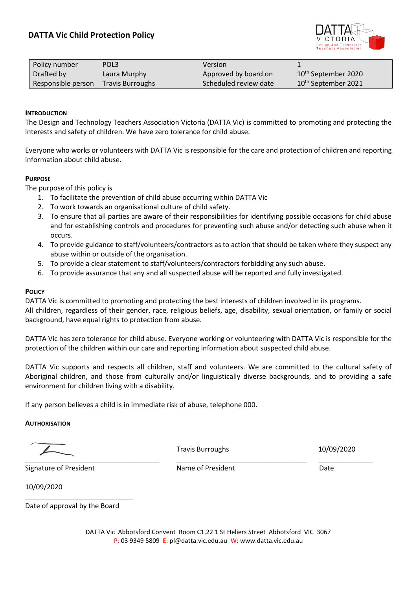

| Policy number      | POL3                    | Version               |                                 |
|--------------------|-------------------------|-----------------------|---------------------------------|
| Drafted by         | Laura Murphy            | Approved by board on  | 10 <sup>th</sup> September 2020 |
| Responsible person | <b>Travis Burroughs</b> | Scheduled review date | 10 <sup>th</sup> September 2021 |

## **INTRODUCTION**

The Design and Technology Teachers Association Victoria (DATTA Vic) is committed to promoting and protecting the interests and safety of children. We have zero tolerance for child abuse.

Everyone who works or volunteers with DATTA Vic is responsible for the care and protection of children and reporting information about child abuse.

## **PURPOSE**

The purpose of this policy is

- 1. To facilitate the prevention of child abuse occurring within DATTA Vic
- 2. To work towards an organisational culture of child safety.
- 3. To ensure that all parties are aware of their responsibilities for identifying possible occasions for child abuse and for establishing controls and procedures for preventing such abuse and/or detecting such abuse when it occurs.
- 4. To provide guidance to staff/volunteers/contractors as to action that should be taken where they suspect any abuse within or outside of the organisation.
- 5. To provide a clear statement to staff/volunteers/contractors forbidding any such abuse.
- 6. To provide assurance that any and all suspected abuse will be reported and fully investigated.

## **POLICY**

DATTA Vic is committed to promoting and protecting the best interests of children involved in its programs. All children, regardless of their gender, race, religious beliefs, age, disability, sexual orientation, or family or social background, have equal rights to protection from abuse.

DATTA Vic has zero tolerance for child abuse. Everyone working or volunteering with DATTA Vic is responsible for the protection of the children within our care and reporting information about suspected child abuse.

DATTA Vic supports and respects all children, staff and volunteers. We are committed to the cultural safety of Aboriginal children, and those from culturally and/or linguistically diverse backgrounds, and to providing a safe environment for children living with a disability.

If any person believes a child is in immediate risk of abuse, telephone 000.

#### **AUTHORISATION**

\_\_\_\_\_\_\_\_\_\_\_\_\_\_\_\_\_\_\_\_\_\_\_\_\_\_\_\_\_\_\_\_\_\_\_ \_\_\_\_\_\_\_\_\_\_\_\_\_\_\_\_\_\_\_\_\_\_\_\_\_\_\_\_\_\_\_\_\_\_ \_\_\_\_\_\_\_\_\_\_\_\_\_\_

Travis Burroughs 10/09/2020

Signature of President Name of President Date

10/09/2020

Date of approval by the Board

\_\_\_\_\_\_\_\_\_\_\_\_\_\_\_\_\_\_\_\_\_\_\_\_\_\_\_\_

DATTA Vic Abbotsford Convent Room C1.22 1 St Heliers Street Abbotsford VIC 3067 P: 03 9349 5809 E: pl@datta.vic.edu.au W: www.datta.vic.edu.au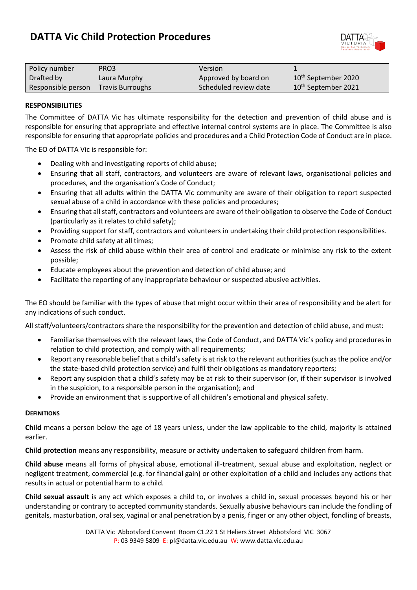# **DATTA Vic Child Protection Procedures**



| Policy number      | PRO3                    | Version               |                                 |
|--------------------|-------------------------|-----------------------|---------------------------------|
| Drafted by         | Laura Murphy            | Approved by board on  | 10 <sup>th</sup> September 2020 |
| Responsible person | <b>Travis Burroughs</b> | Scheduled review date | 10 <sup>th</sup> September 2021 |

## **RESPONSIBILITIES**

The Committee of DATTA Vic has ultimate responsibility for the detection and prevention of child abuse and is responsible for ensuring that appropriate and effective internal control systems are in place. The Committee is also responsible for ensuring that appropriate policies and procedures and a Child Protection Code of Conduct are in place.

The EO of DATTA Vic is responsible for:

- Dealing with and investigating reports of child abuse;
- Ensuring that all staff, contractors, and volunteers are aware of relevant laws, organisational policies and procedures, and the organisation's Code of Conduct;
- Ensuring that all adults within the DATTA Vic community are aware of their obligation to report suspected sexual abuse of a child in accordance with these policies and procedures;
- Ensuring that all staff, contractors and volunteers are aware of their obligation to observe the Code of Conduct (particularly as it relates to child safety);
- Providing support for staff, contractors and volunteers in undertaking their child protection responsibilities.
- Promote child safety at all times;
- Assess the risk of child abuse within their area of control and eradicate or minimise any risk to the extent possible;
- Educate employees about the prevention and detection of child abuse; and
- Facilitate the reporting of any inappropriate behaviour or suspected abusive activities.

The EO should be familiar with the types of abuse that might occur within their area of responsibility and be alert for any indications of such conduct.

All staff/volunteers/contractors share the responsibility for the prevention and detection of child abuse, and must:

- Familiarise themselves with the relevant laws, the Code of Conduct, and DATTA Vic's policy and procedures in relation to child protection, and comply with all requirements;
- Report any reasonable belief that a child's safety is at risk to the relevant authorities (such as the police and/or the state-based child protection service) and fulfil their obligations as mandatory reporters;
- Report any suspicion that a child's safety may be at risk to their supervisor (or, if their supervisor is involved in the suspicion, to a responsible person in the organisation); and
- Provide an environment that is supportive of all children's emotional and physical safety.

## **DEFINITIONS**

**Child** means a person below the age of 18 years unless, under the law applicable to the child, majority is attained earlier.

**Child protection** means any responsibility, measure or activity undertaken to safeguard children from harm.

**Child abuse** means all forms of physical abuse, emotional ill-treatment, sexual abuse and exploitation, neglect or negligent treatment, commercial (e.g. for financial gain) or other exploitation of a child and includes any actions that results in actual or potential harm to a child.

**Child sexual assault** is any act which exposes a child to, or involves a child in, sexual processes beyond his or her understanding or contrary to accepted community standards. Sexually abusive behaviours can include the fondling of genitals, masturbation, oral sex, vaginal or anal penetration by a penis, finger or any other object, fondling of breasts,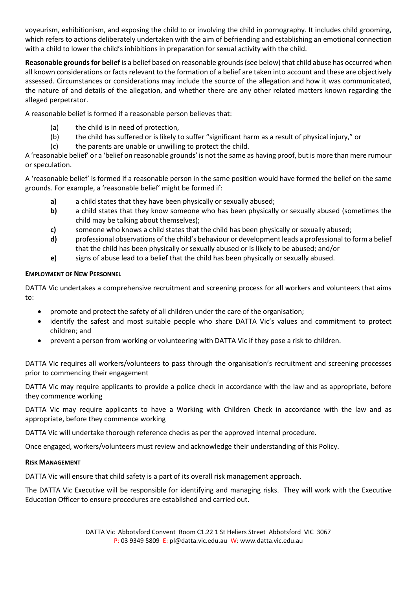voyeurism, exhibitionism, and exposing the child to or involving the child in pornography. It includes child grooming, which refers to actions deliberately undertaken with the aim of befriending and establishing an emotional connection with a child to lower the child's inhibitions in preparation for sexual activity with the child.

**Reasonable grounds for belief** is a belief based on reasonable grounds (see below) that child abuse has occurred when all known considerations or facts relevant to the formation of a belief are taken into account and these are objectively assessed. Circumstances or considerations may include the source of the allegation and how it was communicated, the nature of and details of the allegation, and whether there are any other related matters known regarding the alleged perpetrator.

A reasonable belief is formed if a reasonable person believes that:

- (a) the child is in need of protection,
- (b) the child has suffered or is likely to suffer "significant harm as a result of physical injury," or
- (c) the parents are unable or unwilling to protect the child.

A 'reasonable belief' or a 'belief on reasonable grounds' is not the same as having proof, but is more than mere rumour or speculation.

A 'reasonable belief' is formed if a reasonable person in the same position would have formed the belief on the same grounds. For example, a 'reasonable belief' might be formed if:

- **a)** a child states that they have been physically or sexually abused;
- **b)** a child states that they know someone who has been physically or sexually abused (sometimes the child may be talking about themselves);
- **c)** someone who knows a child states that the child has been physically or sexually abused;
- **d)** professional observations of the child's behaviour or development leads a professional to form a belief that the child has been physically or sexually abused or is likely to be abused; and/or
- **e)** signs of abuse lead to a belief that the child has been physically or sexually abused.

# **EMPLOYMENT OF NEW PERSONNEL**

DATTA Vic undertakes a comprehensive recruitment and screening process for all workers and volunteers that aims to:

- promote and protect the safety of all children under the care of the organisation;
- identify the safest and most suitable people who share DATTA Vic's values and commitment to protect children; and
- prevent a person from working or volunteering with DATTA Vic if they pose a risk to children.

DATTA Vic requires all workers/volunteers to pass through the organisation's recruitment and screening processes prior to commencing their engagement

DATTA Vic may require applicants to provide a police check in accordance with the law and as appropriate, before they commence working

DATTA Vic may require applicants to have a Working with Children Check in accordance with the law and as appropriate, before they commence working

DATTA Vic will undertake thorough reference checks as per the approved internal procedure.

Once engaged, workers/volunteers must review and acknowledge their understanding of this Policy.

# **RISK MANAGEMENT**

DATTA Vic will ensure that child safety is a part of its overall risk management approach.

The DATTA Vic Executive will be responsible for identifying and managing risks. They will work with the Executive Education Officer to ensure procedures are established and carried out.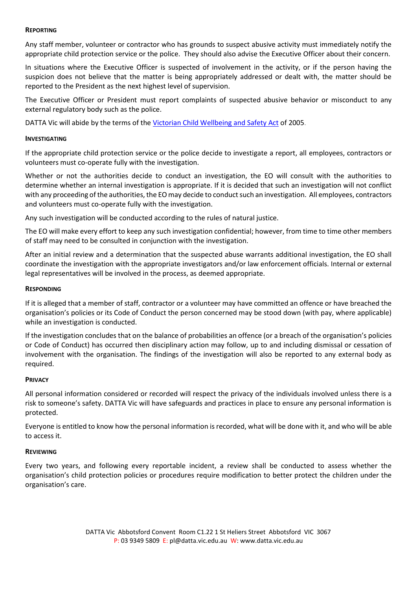## **REPORTING**

Any staff member, volunteer or contractor who has grounds to suspect abusive activity must immediately notify the appropriate child protection service or the police. They should also advise the Executive Officer about their concern.

In situations where the Executive Officer is suspected of involvement in the activity, or if the person having the suspicion does not believe that the matter is being appropriately addressed or dealt with, the matter should be reported to the President as the next highest level of supervision.

The Executive Officer or President must report complaints of suspected abusive behavior or misconduct to any external regulatory body such as the police.

DATTA Vic will abide by the terms of the [Victorian Child Wellbeing and Safety Act](https://dattaviceduau-my.sharepoint.com/:w:/g/personal/admin_datta_vic_edu_au/EYbKNW8SC5pKm8wF87koYHoBAYh_oOHYpP9UCXxFV97pYQ?e=dAVyzC) of 2005.

## **INVESTIGATING**

If the appropriate child protection service or the police decide to investigate a report, all employees, contractors or volunteers must co-operate fully with the investigation.

Whether or not the authorities decide to conduct an investigation, the EO will consult with the authorities to determine whether an internal investigation is appropriate. If it is decided that such an investigation will not conflict with any proceeding of the authorities, the EO may decide to conduct such an investigation. All employees, contractors and volunteers must co-operate fully with the investigation.

Any such investigation will be conducted according to the rules of natural justice.

The EO will make every effort to keep any such investigation confidential; however, from time to time other members of staff may need to be consulted in conjunction with the investigation.

After an initial review and a determination that the suspected abuse warrants additional investigation, the EO shall coordinate the investigation with the appropriate investigators and/or law enforcement officials. Internal or external legal representatives will be involved in the process, as deemed appropriate.

## **RESPONDING**

If it is alleged that a member of staff, contractor or a volunteer may have committed an offence or have breached the organisation's policies or its Code of Conduct the person concerned may be stood down (with pay, where applicable) while an investigation is conducted.

If the investigation concludes that on the balance of probabilities an offence (or a breach of the organisation's policies or Code of Conduct) has occurred then disciplinary action may follow, up to and including dismissal or cessation of involvement with the organisation. The findings of the investigation will also be reported to any external body as required.

#### **PRIVACY**

All personal information considered or recorded will respect the privacy of the individuals involved unless there is a risk to someone's safety. DATTA Vic will have safeguards and practices in place to ensure any personal information is protected.

Everyone is entitled to know how the personal information is recorded, what will be done with it, and who will be able to access it.

#### **REVIEWING**

Every two years, and following every reportable incident, a review shall be conducted to assess whether the organisation's child protection policies or procedures require modification to better protect the children under the organisation's care.